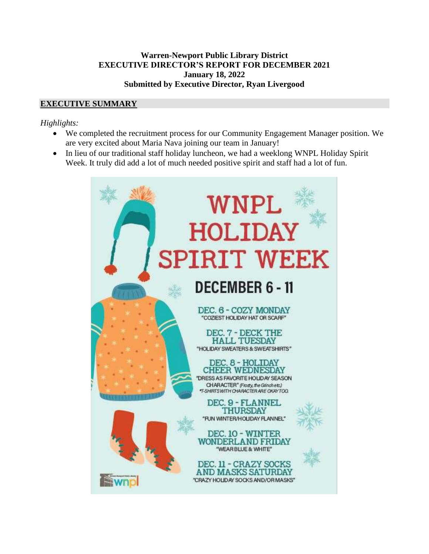#### **Warren-Newport Public Library District EXECUTIVE DIRECTOR'S REPORT FOR DECEMBER 2021 January 18, 2022 Submitted by Executive Director, Ryan Livergood**

## **EXECUTIVE SUMMARY**

### *Highlights:*

- We completed the recruitment process for our Community Engagement Manager position. We are very excited about Maria Nava joining our team in January!
- In lieu of our traditional staff holiday luncheon, we had a weeklong WNPL Holiday Spirit Week. It truly did add a lot of much needed positive spirit and staff had a lot of fun.

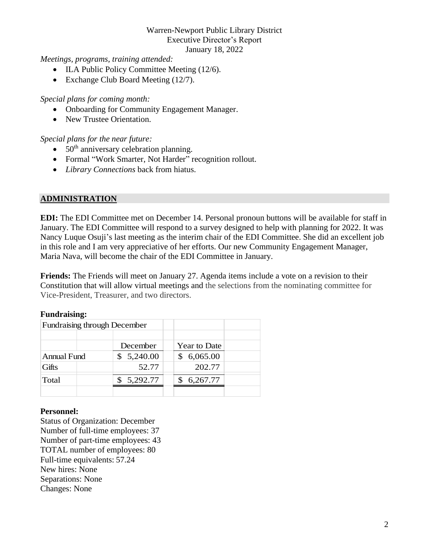*Meetings, programs, training attended:*

- ILA Public Policy Committee Meeting (12/6).
- Exchange Club Board Meeting (12/7).

#### *Special plans for coming month:*

- Onboarding for Community Engagement Manager.
- New Trustee Orientation.

#### *Special plans for the near future:*

- $\bullet$  50<sup>th</sup> anniversary celebration planning.
- Formal "Work Smarter, Not Harder" recognition rollout.
- *Library Connections* back from hiatus.

### **ADMINISTRATION**

**EDI:** The EDI Committee met on December 14. Personal pronoun buttons will be available for staff in January. The EDI Committee will respond to a survey designed to help with planning for 2022. It was Nancy Luque Osuji's last meeting as the interim chair of the EDI Committee. She did an excellent job in this role and I am very appreciative of her efforts. Our new Community Engagement Manager, Maria Nava, will become the chair of the EDI Committee in January.

**Friends:** The Friends will meet on January 27. Agenda items include a vote on a revision to their Constitution that will allow virtual meetings and the selections from the nominating committee for Vice-President, Treasurer, and two directors.

#### **Fundraising:**

| Fundraising through December |            |                     |
|------------------------------|------------|---------------------|
|                              |            |                     |
|                              | December   | <b>Year to Date</b> |
| <b>Annual Fund</b>           | \$5,240.00 | \$6,065.00          |
| Gifts                        | 52.77      | 202.77              |
| Total                        | 5,292.77   | 6,267.77            |
|                              |            |                     |

#### **Personnel:**

Status of Organization: December Number of full-time employees: 37 Number of part-time employees: 43 TOTAL number of employees: 80 Full-time equivalents: 57.24 New hires: None Separations: None Changes: None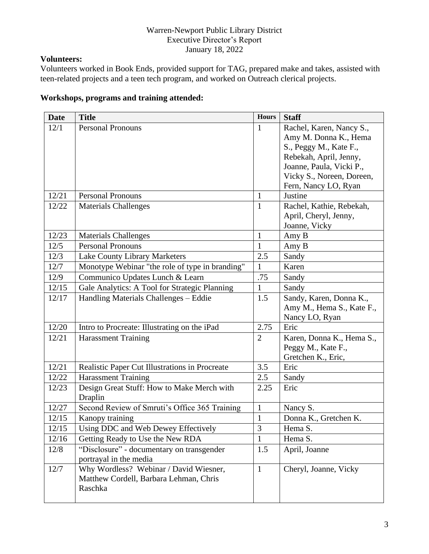# **Volunteers:**

Volunteers worked in Book Ends, provided support for TAG, prepared make and takes, assisted with teen-related projects and a teen tech program, and worked on Outreach clerical projects.

# **Workshops, programs and training attended:**

| <b>Date</b> | <b>Title</b>                                    | <b>Hours</b>   | <b>Staff</b>              |
|-------------|-------------------------------------------------|----------------|---------------------------|
| 12/1        | <b>Personal Pronouns</b>                        | $\mathbf{1}$   | Rachel, Karen, Nancy S.,  |
|             |                                                 |                | Amy M. Donna K., Hema     |
|             |                                                 |                | S., Peggy M., Kate F.,    |
|             |                                                 |                | Rebekah, April, Jenny,    |
|             |                                                 |                | Joanne, Paula, Vicki P.,  |
|             |                                                 |                | Vicky S., Noreen, Doreen, |
|             |                                                 |                | Fern, Nancy LO, Ryan      |
| 12/21       | <b>Personal Pronouns</b>                        | $\mathbf{1}$   | Justine                   |
| 12/22       | <b>Materials Challenges</b>                     | 1              | Rachel, Kathie, Rebekah,  |
|             |                                                 |                | April, Cheryl, Jenny,     |
|             |                                                 |                | Joanne, Vicky             |
| 12/23       | <b>Materials Challenges</b>                     | $\mathbf{1}$   | Amy B                     |
| 12/5        | <b>Personal Pronouns</b>                        | 1              | Amy B                     |
| 12/3        | <b>Lake County Library Marketers</b>            | 2.5            | Sandy                     |
| 12/7        | Monotype Webinar "the role of type in branding" | 1              | Karen                     |
| 12/9        | Communico Updates Lunch & Learn                 | .75            | Sandy                     |
| 12/15       | Gale Analytics: A Tool for Strategic Planning   | 1              | Sandy                     |
| 12/17       | Handling Materials Challenges - Eddie           | 1.5            | Sandy, Karen, Donna K.,   |
|             |                                                 |                | Amy M., Hema S., Kate F., |
|             |                                                 |                | Nancy LO, Ryan            |
| 12/20       | Intro to Procreate: Illustrating on the iPad    | 2.75           | Eric                      |
| 12/21       | <b>Harassment Training</b>                      | $\overline{2}$ | Karen, Donna K., Hema S., |
|             |                                                 |                | Peggy M., Kate F.,        |
|             |                                                 |                | Gretchen K., Eric,        |
| 12/21       | Realistic Paper Cut Illustrations in Procreate  | 3.5            | Eric                      |
| 12/22       | <b>Harassment Training</b>                      | 2.5            | Sandy                     |
| 12/23       | Design Great Stuff: How to Make Merch with      | 2.25           | Eric                      |
|             | Draplin                                         |                |                           |
| 12/27       | Second Review of Smruti's Office 365 Training   | $\mathbf{1}$   | Nancy S.                  |
| 12/15       | Kanopy training                                 | $\mathbf{1}$   | Donna K., Gretchen K.     |
| 12/15       | Using DDC and Web Dewey Effectively             | 3              | Hema S.                   |
| 12/16       | Getting Ready to Use the New RDA                | 1              | Hema S.                   |
| 12/8        | "Disclosure" - documentary on transgender       | 1.5            | April, Joanne             |
|             | portrayal in the media                          |                |                           |
| 12/7        | Why Wordless? Webinar / David Wiesner,          | $\mathbf{1}$   | Cheryl, Joanne, Vicky     |
|             | Matthew Cordell, Barbara Lehman, Chris          |                |                           |
|             | Raschka                                         |                |                           |
|             |                                                 |                |                           |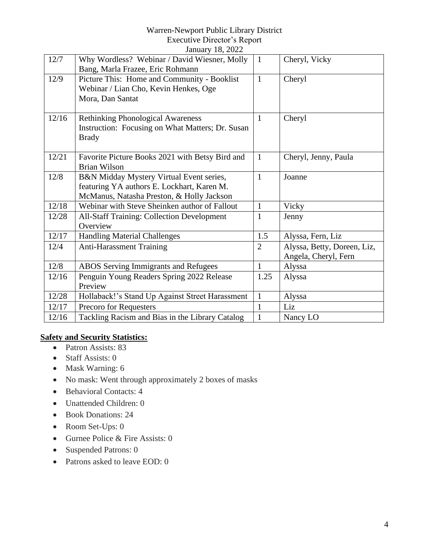|       | Jailual y To, 2022                                |                |                             |
|-------|---------------------------------------------------|----------------|-----------------------------|
| 12/7  | Why Wordless? Webinar / David Wiesner, Molly      | $\mathbf{1}$   | Cheryl, Vicky               |
|       | Bang, Marla Frazee, Eric Rohmann                  |                |                             |
| 12/9  | Picture This: Home and Community - Booklist       | $\mathbf{1}$   | Cheryl                      |
|       | Webinar / Lian Cho, Kevin Henkes, Oge             |                |                             |
|       | Mora, Dan Santat                                  |                |                             |
|       |                                                   |                |                             |
| 12/16 | <b>Rethinking Phonological Awareness</b>          | $\mathbf{1}$   | Cheryl                      |
|       | Instruction: Focusing on What Matters; Dr. Susan  |                |                             |
|       | <b>Brady</b>                                      |                |                             |
| 12/21 | Favorite Picture Books 2021 with Betsy Bird and   | $\mathbf{1}$   | Cheryl, Jenny, Paula        |
|       | <b>Brian Wilson</b>                               |                |                             |
| 12/8  | B&N Midday Mystery Virtual Event series,          | $\mathbf{1}$   | Joanne                      |
|       | featuring YA authors E. Lockhart, Karen M.        |                |                             |
|       | McManus, Natasha Preston, & Holly Jackson         |                |                             |
| 12/18 | Webinar with Steve Sheinken author of Fallout     | $\mathbf{1}$   | Vicky                       |
| 12/28 | <b>All-Staff Training: Collection Development</b> | $\mathbf{1}$   | Jenny                       |
|       | Overview                                          |                |                             |
| 12/17 | <b>Handling Material Challenges</b>               | 1.5            | Alyssa, Fern, Liz           |
| 12/4  | <b>Anti-Harassment Training</b>                   | $\overline{2}$ | Alyssa, Betty, Doreen, Liz, |
|       |                                                   |                | Angela, Cheryl, Fern        |
| 12/8  | <b>ABOS</b> Serving Immigrants and Refugees       | $\mathbf{1}$   | Alyssa                      |
| 12/16 | Penguin Young Readers Spring 2022 Release         | 1.25           | Alyssa                      |
|       | Preview                                           |                |                             |
| 12/28 | Hollaback!'s Stand Up Against Street Harassment   | $\mathbf{1}$   | Alyssa                      |
| 12/17 | Precoro for Requesters                            | 1              | Liz                         |
| 12/16 | Tackling Racism and Bias in the Library Catalog   | $\mathbf{1}$   | Nancy LO                    |

# **Safety and Security Statistics:**

- Patron Assists: 83
- Staff Assists: 0
- Mask Warning: 6
- No mask: Went through approximately 2 boxes of masks
- Behavioral Contacts: 4
- Unattended Children: 0
- Book Donations: 24
- Room Set-Ups: 0
- Gurnee Police & Fire Assists: 0
- Suspended Patrons: 0
- Patrons asked to leave EOD: 0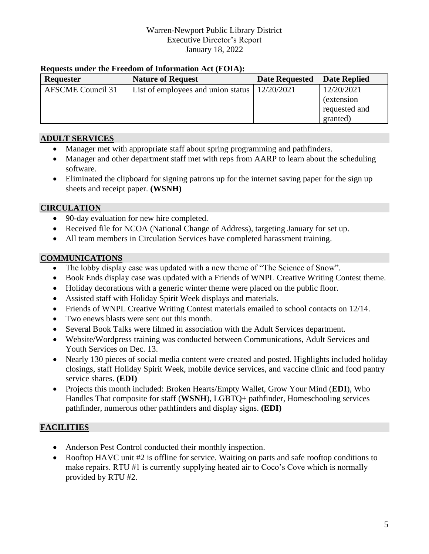#### **Requests under the Freedom of Information Act (FOIA):**

| <b>Requester</b>         | <b>Nature of Request</b>           | <b>Date Requested</b> | <b>Date Replied</b> |
|--------------------------|------------------------------------|-----------------------|---------------------|
| <b>AFSCME Council 31</b> | List of employees and union status | 12/20/2021            | 12/20/2021          |
|                          |                                    |                       | <i>(extension)</i>  |
|                          |                                    |                       | requested and       |
|                          |                                    |                       | granted)            |

# **ADULT SERVICES**

- Manager met with appropriate staff about spring programming and pathfinders.
- Manager and other department staff met with reps from AARP to learn about the scheduling software.
- Eliminated the clipboard for signing patrons up for the internet saving paper for the sign up sheets and receipt paper. **(WSNH)**

### **CIRCULATION**

- 90-day evaluation for new hire completed.
- Received file for NCOA (National Change of Address), targeting January for set up.
- All team members in Circulation Services have completed harassment training.

# **COMMUNICATIONS**

- The lobby display case was updated with a new theme of "The Science of Snow".
- Book Ends display case was updated with a Friends of WNPL Creative Writing Contest theme.
- Holiday decorations with a generic winter theme were placed on the public floor.
- Assisted staff with Holiday Spirit Week displays and materials.
- Friends of WNPL Creative Writing Contest materials emailed to school contacts on 12/14.
- Two enews blasts were sent out this month.
- Several Book Talks were filmed in association with the Adult Services department.
- Website/Wordpress training was conducted between Communications, Adult Services and Youth Services on Dec. 13.
- Nearly 130 pieces of social media content were created and posted. Highlights included holiday closings, staff Holiday Spirit Week, mobile device services, and vaccine clinic and food pantry service shares. **(EDI)**
- Projects this month included: Broken Hearts/Empty Wallet, Grow Your Mind (**EDI**), Who Handles That composite for staff (**WSNH**), LGBTQ+ pathfinder, Homeschooling services pathfinder, numerous other pathfinders and display signs. **(EDI)**

# **FACILITIES**

- Anderson Pest Control conducted their monthly inspection.
- Rooftop HAVC unit #2 is offline for service. Waiting on parts and safe rooftop conditions to make repairs. RTU #1 is currently supplying heated air to Coco's Cove which is normally provided by RTU #2.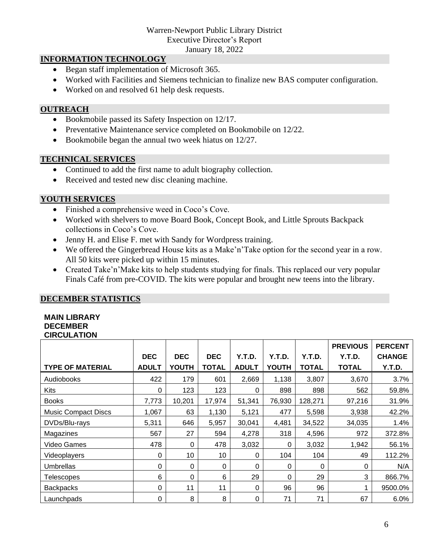January 18, 2022

### **INFORMATION TECHNOLOGY**

- Began staff implementation of Microsoft 365.
- Worked with Facilities and Siemens technician to finalize new BAS computer configuration.
- Worked on and resolved 61 help desk requests.

#### **OUTREACH**

- Bookmobile passed its Safety Inspection on 12/17.
- Preventative Maintenance service completed on Bookmobile on 12/22.
- Bookmobile began the annual two week hiatus on 12/27.

#### **TECHNICAL SERVICES**

- Continued to add the first name to adult biography collection.
- Received and tested new disc cleaning machine.

### **YOUTH SERVICES**

- Finished a comprehensive weed in Coco's Cove.
- Worked with shelvers to move Board Book, Concept Book, and Little Sprouts Backpack collections in Coco's Cove.
- Jenny H. and Elise F. met with Sandy for Wordpress training.
- We offered the Gingerbread House kits as a Make'n'Take option for the second year in a row. All 50 kits were picked up within 15 minutes.
- Created Take'n'Make kits to help students studying for finals. This replaced our very popular Finals Café from pre-COVID. The kits were popular and brought new teens into the library.

### **DECEMBER STATISTICS**

#### **MAIN LIBRARY DECEMBER CIRCULATION**

|                            |              |              |              |              |              |              | <b>PREVIOUS</b> | <b>PERCENT</b> |
|----------------------------|--------------|--------------|--------------|--------------|--------------|--------------|-----------------|----------------|
|                            | <b>DEC</b>   | <b>DEC</b>   | <b>DEC</b>   | Y.T.D.       | Y.T.D.       | Y.T.D.       | Y.T.D.          | <b>CHANGE</b>  |
| <b>TYPE OF MATERIAL</b>    | <b>ADULT</b> | <b>YOUTH</b> | <b>TOTAL</b> | <b>ADULT</b> | <b>YOUTH</b> | <b>TOTAL</b> | <b>TOTAL</b>    | Y.T.D.         |
| <b>Audiobooks</b>          | 422          | 179          | 601          | 2,669        | 1,138        | 3,807        | 3,670           | 3.7%           |
| <b>Kits</b>                | 0            | 123          | 123          | 0            | 898          | 898          | 562             | 59.8%          |
| <b>Books</b>               | 7,773        | 10,201       | 17,974       | 51,341       | 76,930       | 128,271      | 97,216          | 31.9%          |
| <b>Music Compact Discs</b> | 1,067        | 63           | 1,130        | 5,121        | 477          | 5,598        | 3,938           | 42.2%          |
| DVDs/Blu-rays              | 5,311        | 646          | 5,957        | 30,041       | 4,481        | 34,522       | 34,035          | 1.4%           |
| Magazines                  | 567          | 27           | 594          | 4,278        | 318          | 4,596        | 972             | 372.8%         |
| Video Games                | 478          | 0            | 478          | 3,032        | $\mathbf 0$  | 3,032        | 1,942           | 56.1%          |
| Videoplayers               | $\Omega$     | 10           | 10           | 0            | 104          | 104          | 49              | 112.2%         |
| <b>Umbrellas</b>           | 0            | 0            | 0            | 0            | 0            | 0            | 0               | N/A            |
| <b>Telescopes</b>          | 6            | 0            | 6            | 29           | $\Omega$     | 29           | 3               | 866.7%         |
| <b>Backpacks</b>           | 0            | 11           | 11           | 0            | 96           | 96           |                 | 9500.0%        |
| Launchpads                 | 0            | 8            | 8            | 0            | 71           | 71           | 67              | 6.0%           |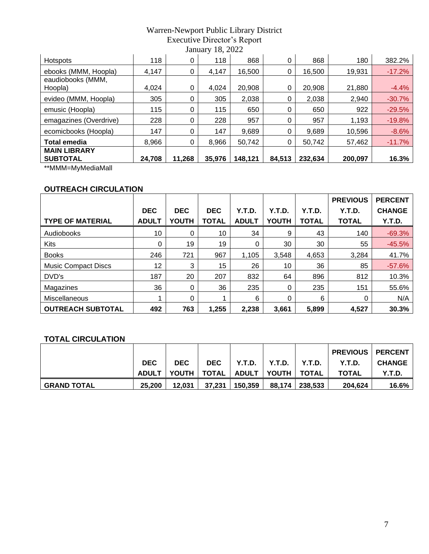| Hotspots               | 118    | 0      | 118    | 868     | 0      | 868     | 180     | 382.2%   |
|------------------------|--------|--------|--------|---------|--------|---------|---------|----------|
| ebooks (MMM, Hoopla)   | 4,147  | 0      | 4,147  | 16,500  | 0      | 16,500  | 19,931  | $-17.2%$ |
| eaudiobooks (MMM,      |        |        |        |         |        |         |         |          |
| Hoopla)                | 4,024  | 0      | 4,024  | 20,908  | 0      | 20,908  | 21,880  | $-4.4%$  |
| evideo (MMM, Hoopla)   | 305    | 0      | 305    | 2,038   | 0      | 2,038   | 2,940   | $-30.7%$ |
| emusic (Hoopla)        | 115    | 0      | 115    | 650     | 0      | 650     | 922     | $-29.5%$ |
| emagazines (Overdrive) | 228    | 0      | 228    | 957     | 0      | 957     | 1,193   | $-19.8%$ |
| ecomicbooks (Hoopla)   | 147    | 0      | 147    | 9,689   | 0      | 9,689   | 10,596  | $-8.6%$  |
| <b>Total emedia</b>    | 8,966  | 0      | 8,966  | 50,742  | 0      | 50,742  | 57,462  | $-11.7%$ |
| <b>MAIN LIBRARY</b>    |        |        |        |         |        |         |         |          |
| <b>SUBTOTAL</b>        | 24,708 | 11,268 | 35,976 | 148,121 | 84,513 | 232,634 | 200,097 | 16.3%    |
|                        |        |        |        |         |        |         |         |          |

\*\*MMM=MyMediaMall

# **OUTREACH CIRCULATION**

|                            |              |              |            |              |                |              | <b>PREVIOUS</b> | <b>PERCENT</b> |
|----------------------------|--------------|--------------|------------|--------------|----------------|--------------|-----------------|----------------|
|                            | <b>DEC</b>   | <b>DEC</b>   | <b>DEC</b> | Y.T.D.       | Y.T.D.         | Y.T.D.       | Y.T.D.          | <b>CHANGE</b>  |
| <b>TYPE OF MATERIAL</b>    | <b>ADULT</b> | <b>YOUTH</b> | TOTAL      | <b>ADULT</b> | <b>YOUTH</b>   | <b>TOTAL</b> | <b>TOTAL</b>    | Y.T.D.         |
| Audiobooks                 | 10           | 0            | 10         | 34           | 9              | 43           | 140             | $-69.3%$       |
| <b>Kits</b>                | 0            | 19           | 19         | 0            | 30             | 30           | 55              | $-45.5%$       |
| <b>Books</b>               | 246          | 721          | 967        | 1,105        | 3,548          | 4,653        | 3,284           | 41.7%          |
| <b>Music Compact Discs</b> | 12           | 3            | 15         | 26           | 10             | 36           | 85              | $-57.6%$       |
| DVD's                      | 187          | 20           | 207        | 832          | 64             | 896          | 812             | 10.3%          |
| Magazines                  | 36           | 0            | 36         | 235          | $\overline{0}$ | 235          | 151             | 55.6%          |
| Miscellaneous              | 4            | 0            |            | 6            | 0              | 6            | 0               | N/A            |
| <b>OUTREACH SUBTOTAL</b>   | 492          | 763          | 1,255      | 2,238        | 3,661          | 5,899        | 4,527           | 30.3%          |

## **TOTAL CIRCULATION**

|                    |              |            |              |         |               |         | <b>PREVIOUS   PERCENT</b> |               |
|--------------------|--------------|------------|--------------|---------|---------------|---------|---------------------------|---------------|
|                    | <b>DEC</b>   | <b>DEC</b> | <b>DEC</b>   | Y.T.D.  | Y.T.D.        | Y.T.D.  | Y.T.D.                    | <b>CHANGE</b> |
|                    | <b>ADULT</b> | YOUTH I    | <b>TOTAL</b> | ADULT   | YOUTH   TOTAL |         | <b>TOTAL</b>              | Y.T.D.        |
| <b>GRAND TOTAL</b> | 25.200       | 12.031     | 37.231       | 150,359 | 88,174        | 238,533 | 204,624                   | 16.6%         |